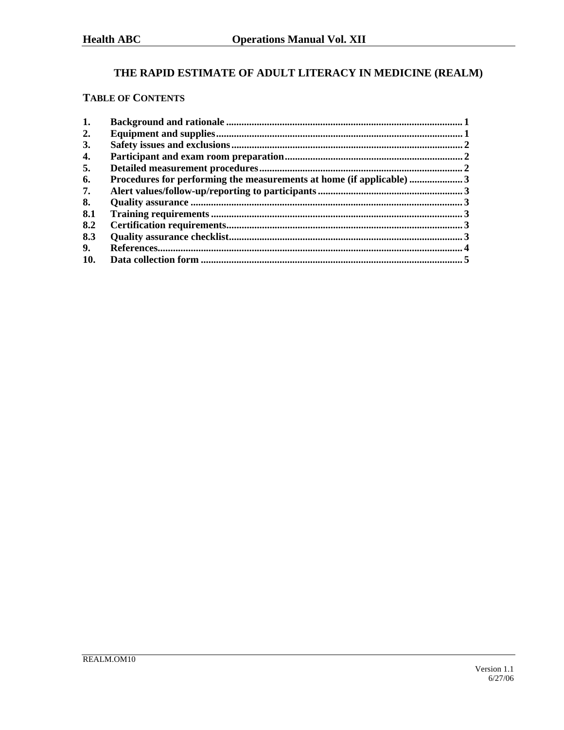# THE RAPID ESTIMATE OF ADULT LITERACY IN MEDICINE (REALM)

## **TABLE OF CONTENTS**

| 2.<br>3.<br>4.<br>5.<br>Procedures for performing the measurements at home (if applicable)  3<br>6.<br>7.<br>8.<br>8.1<br>8.2<br>8.3<br>9.<br>10. | 1. |  |
|---------------------------------------------------------------------------------------------------------------------------------------------------|----|--|
|                                                                                                                                                   |    |  |
|                                                                                                                                                   |    |  |
|                                                                                                                                                   |    |  |
|                                                                                                                                                   |    |  |
|                                                                                                                                                   |    |  |
|                                                                                                                                                   |    |  |
|                                                                                                                                                   |    |  |
|                                                                                                                                                   |    |  |
|                                                                                                                                                   |    |  |
|                                                                                                                                                   |    |  |
|                                                                                                                                                   |    |  |
|                                                                                                                                                   |    |  |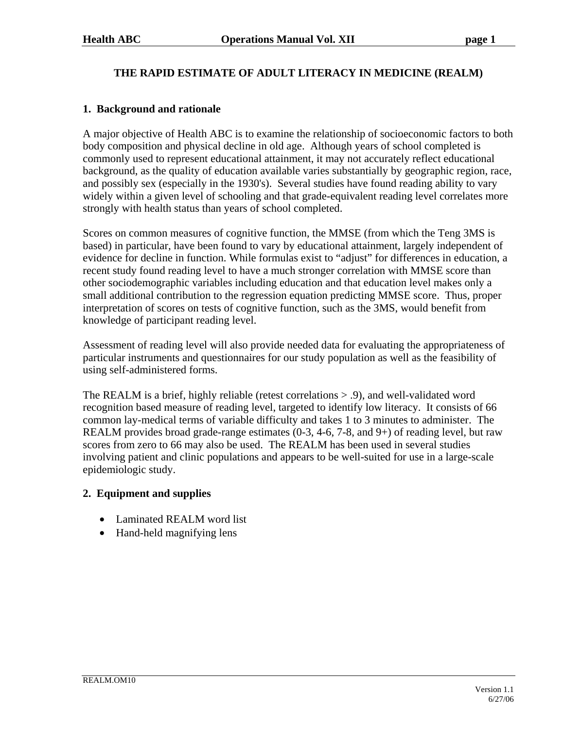## **THE RAPID ESTIMATE OF ADULT LITERACY IN MEDICINE (REALM)**

### **1. Background and rationale**

A major objective of Health ABC is to examine the relationship of socioeconomic factors to both body composition and physical decline in old age. Although years of school completed is commonly used to represent educational attainment, it may not accurately reflect educational background, as the quality of education available varies substantially by geographic region, race, and possibly sex (especially in the 1930's). Several studies have found reading ability to vary widely within a given level of schooling and that grade-equivalent reading level correlates more strongly with health status than years of school completed.

Scores on common measures of cognitive function, the MMSE (from which the Teng 3MS is based) in particular, have been found to vary by educational attainment, largely independent of evidence for decline in function. While formulas exist to "adjust" for differences in education, a recent study found reading level to have a much stronger correlation with MMSE score than other sociodemographic variables including education and that education level makes only a small additional contribution to the regression equation predicting MMSE score. Thus, proper interpretation of scores on tests of cognitive function, such as the 3MS, would benefit from knowledge of participant reading level.

Assessment of reading level will also provide needed data for evaluating the appropriateness of particular instruments and questionnaires for our study population as well as the feasibility of using self-administered forms.

The REALM is a brief, highly reliable (retest correlations > .9), and well-validated word recognition based measure of reading level, targeted to identify low literacy. It consists of 66 common lay-medical terms of variable difficulty and takes 1 to 3 minutes to administer. The REALM provides broad grade-range estimates (0-3, 4-6, 7-8, and 9+) of reading level, but raw scores from zero to 66 may also be used. The REALM has been used in several studies involving patient and clinic populations and appears to be well-suited for use in a large-scale epidemiologic study.

### **2. Equipment and supplies**

- Laminated REALM word list
- Hand-held magnifying lens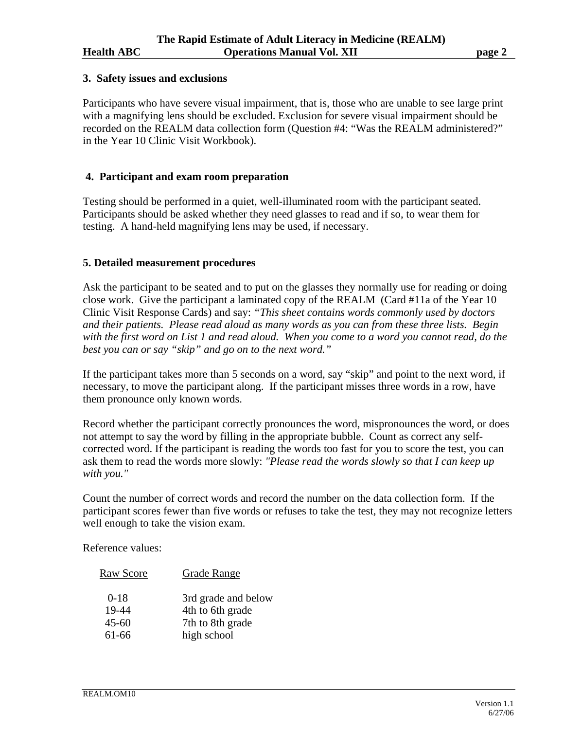#### **3. Safety issues and exclusions**

Participants who have severe visual impairment, that is, those who are unable to see large print with a magnifying lens should be excluded. Exclusion for severe visual impairment should be recorded on the REALM data collection form (Question #4: "Was the REALM administered?" in the Year 10 Clinic Visit Workbook).

#### **4. Participant and exam room preparation**

Testing should be performed in a quiet, well-illuminated room with the participant seated. Participants should be asked whether they need glasses to read and if so, to wear them for testing. A hand-held magnifying lens may be used, if necessary.

#### **5. Detailed measurement procedures**

Ask the participant to be seated and to put on the glasses they normally use for reading or doing close work. Give the participant a laminated copy of the REALM (Card #11a of the Year 10 Clinic Visit Response Cards) and say: *"This sheet contains words commonly used by doctors and their patients. Please read aloud as many words as you can from these three lists. Begin with the first word on List 1 and read aloud. When you come to a word you cannot read, do the best you can or say "skip" and go on to the next word."*

If the participant takes more than 5 seconds on a word, say "skip" and point to the next word, if necessary, to move the participant along. If the participant misses three words in a row, have them pronounce only known words.

Record whether the participant correctly pronounces the word, mispronounces the word, or does not attempt to say the word by filling in the appropriate bubble. Count as correct any selfcorrected word. If the participant is reading the words too fast for you to score the test, you can ask them to read the words more slowly: *"Please read the words slowly so that I can keep up with you."*

Count the number of correct words and record the number on the data collection form. If the participant scores fewer than five words or refuses to take the test, they may not recognize letters well enough to take the vision exam.

Reference values:

| <b>Raw Score</b> | Grade Range         |
|------------------|---------------------|
| $0 - 18$         | 3rd grade and below |
| 19-44            | 4th to 6th grade    |
| $45 - 60$        | 7th to 8th grade    |
| 61-66            | high school         |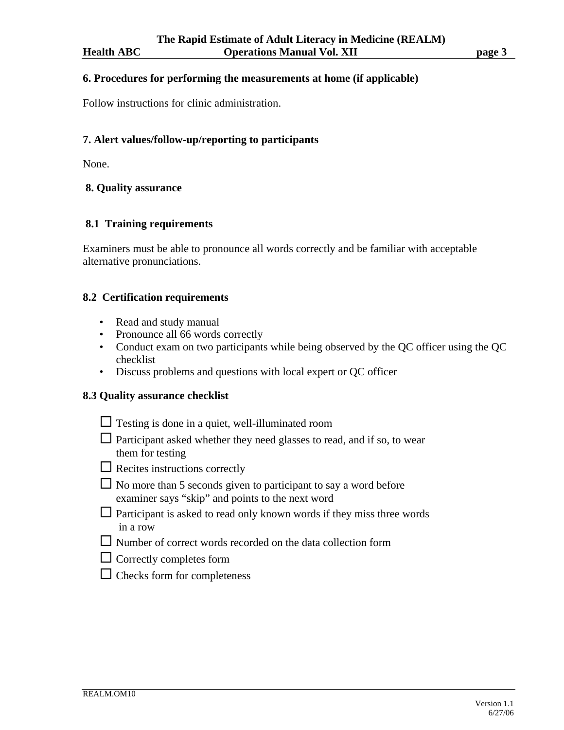#### **6. Procedures for performing the measurements at home (if applicable)**

Follow instructions for clinic administration.

#### **7. Alert values/follow-up/reporting to participants**

None.

### **8. Quality assurance**

#### **8.1 Training requirements**

Examiners must be able to pronounce all words correctly and be familiar with acceptable alternative pronunciations.

#### **8.2 Certification requirements**

- Read and study manual
- Pronounce all 66 words correctly
- Conduct exam on two participants while being observed by the QC officer using the QC checklist
- Discuss problems and questions with local expert or QC officer

#### **8.3 Quality assurance checklist**

- $\Box$  Testing is done in a quiet, well-illuminated room
- $\Box$  Participant asked whether they need glasses to read, and if so, to wear them for testing
- $\square$  Recites instructions correctly
- $\Box$  No more than 5 seconds given to participant to say a word before examiner says "skip" and points to the next word
- $\Box$  Participant is asked to read only known words if they miss three words in a row
- $\Box$  Number of correct words recorded on the data collection form
- $\Box$  Correctly completes form
- $\Box$  Checks form for completeness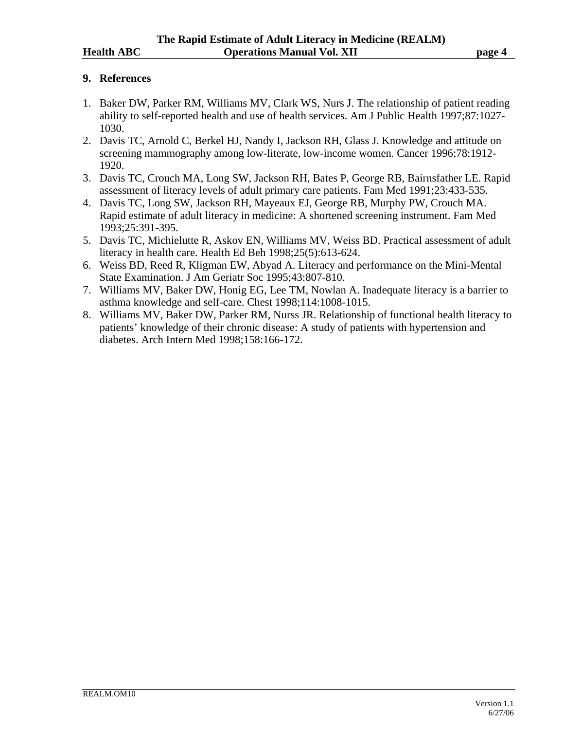### **9. References**

- 1. Baker DW, Parker RM, Williams MV, Clark WS, Nurs J. The relationship of patient reading ability to self-reported health and use of health services. Am J Public Health 1997;87:1027- 1030.
- 2. Davis TC, Arnold C, Berkel HJ, Nandy I, Jackson RH, Glass J. Knowledge and attitude on screening mammography among low-literate, low-income women. Cancer 1996;78:1912- 1920.
- 3. Davis TC, Crouch MA, Long SW, Jackson RH, Bates P, George RB, Bairnsfather LE. Rapid assessment of literacy levels of adult primary care patients. Fam Med 1991;23:433-535.
- 4. Davis TC, Long SW, Jackson RH, Mayeaux EJ, George RB, Murphy PW, Crouch MA. Rapid estimate of adult literacy in medicine: A shortened screening instrument. Fam Med 1993;25:391-395.
- 5. Davis TC, Michielutte R, Askov EN, Williams MV, Weiss BD. Practical assessment of adult literacy in health care. Health Ed Beh 1998;25(5):613-624.
- 6. Weiss BD, Reed R, Kligman EW, Abyad A. Literacy and performance on the Mini-Mental State Examination. J Am Geriatr Soc 1995;43:807-810.
- 7. Williams MV, Baker DW, Honig EG, Lee TM, Nowlan A. Inadequate literacy is a barrier to asthma knowledge and self-care. Chest 1998;114:1008-1015.
- 8. Williams MV, Baker DW, Parker RM, Nurss JR. Relationship of functional health literacy to patients' knowledge of their chronic disease: A study of patients with hypertension and diabetes. Arch Intern Med 1998;158:166-172.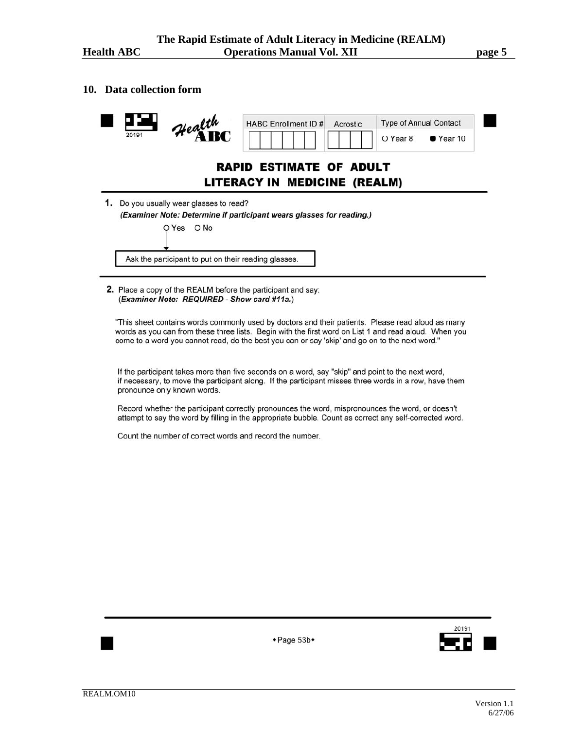#### **10. Data collection form**



2. Place a copy of the REALM before the participant and say: (Examiner Note: REQUIRED - Show card #11a.)

"This sheet contains words commonly used by doctors and their patients. Please read aloud as many words as you can from these three lists. Begin with the first word on List 1 and read aloud. When you come to a word you cannot read, do the best you can or say 'skip' and go on to the next word."

If the participant takes more than five seconds on a word, say "skip" and point to the next word, if necessary, to move the participant along. If the participant misses three words in a row, have them pronounce only known words.

Record whether the participant correctly pronounces the word, mispronounces the word, or doesn't attempt to say the word by filling in the appropriate bubble. Count as correct any self-corrected word.

+Page 53b+

Count the number of correct words and record the number.